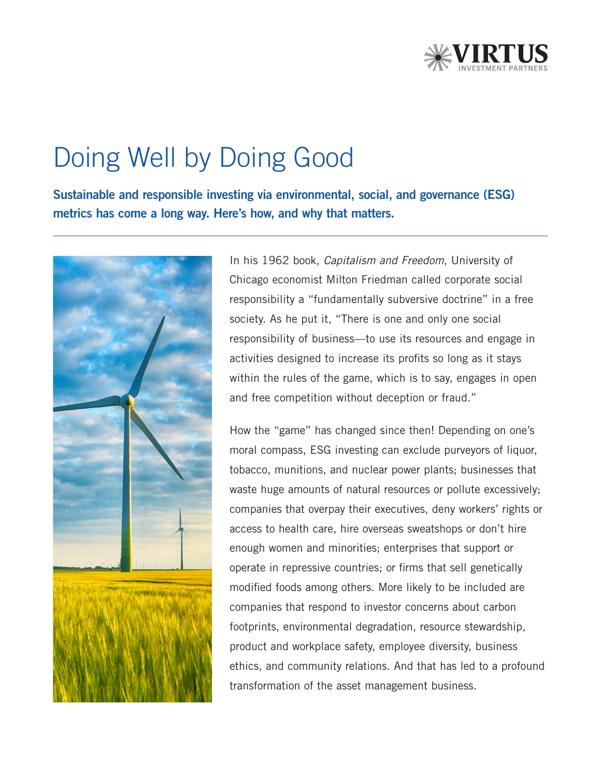

# Doing Well by Doing Good

Sustainable and responsible investing via environmental, social, and governance (ESG) metrics has come a long way. Here's how, and why that matters.



In his 1962 book, *Capitalism and Freedom*, University of Chicago economist Milton Friedman called corporate social responsibility a "fundamentally subversive doctrine" in a free society. As he put it, "There is one and only one social responsibility of business—to use its resources and engage in activities designed to increase its profits so long as it stays within the rules of the game, which is to say, engages in open and free competition without deception or fraud."

How the "game" has changed since then! Depending on one's moral compass, ESG investing can exclude purveyors of liquor, tobacco, munitions, and nuclear power plants; businesses that waste huge amounts of natural resources or pollute excessively; companies that overpay their executives, deny workers' rights or access to health care, hire overseas sweatshops or don't hire enough women and minorities; enterprises that support or operate in repressive countries; or firms that sell genetically modified foods among others. More likely to be included are companies that respond to investor concerns about carbon footprints, environmental degradation, resource stewardship, product and workplace safety, employee diversity, business ethics, and community relations. And that has led to a profound transformation of the asset management business.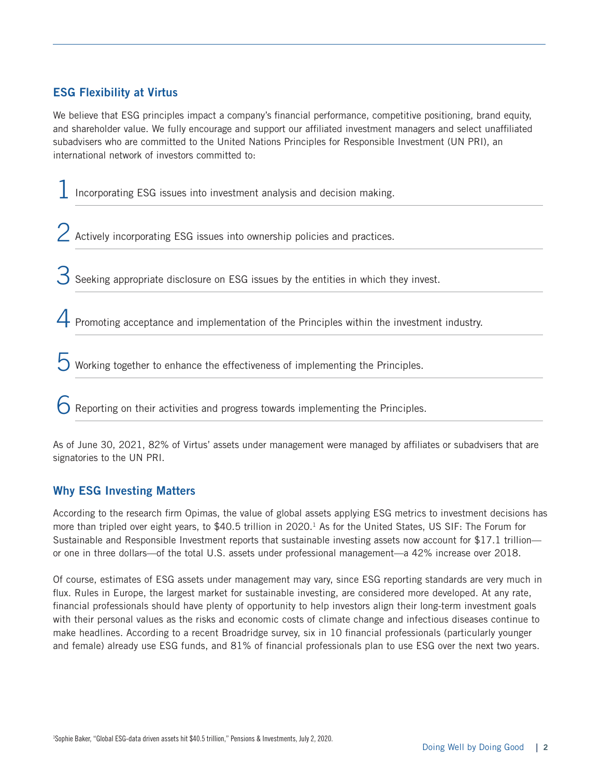# ESG Flexibility at Virtus

We believe that ESG principles impact a company's financial performance, competitive positioning, brand equity, and shareholder value. We fully encourage and support our affiliated investment managers and select unaffiliated subadvisers who are committed to the United Nations Principles for Responsible Investment (UN PRI), an international network of investors committed to:

1 Incorporating ESG issues into investment analysis and decision making.

2 Actively incorporating ESG issues into ownership policies and practices.

Seeking appropriate disclosure on ESG issues by the entities in which they invest.

4 Promoting acceptance and implementation of the Principles within the investment industry.

5 Working together to enhance the effectiveness of implementing the Principles.

Reporting on their activities and progress towards implementing the Principles.

As of June 30, 2021, 82% of Virtus' assets under management were managed by affiliates or subadvisers that are signatories to the UN PRI.

## Why ESG Investing Matters

According to the research firm Opimas, the value of global assets applying ESG metrics to investment decisions has more than tripled over eight years, to \$40.5 trillion in 2020.<sup>1</sup> As for the United States, US SIF: The Forum for Sustainable and Responsible Investment reports that sustainable investing assets now account for \$17.1 trillion or one in three dollars—of the total U.S. assets under professional management—a 42% increase over 2018.

Of course, estimates of ESG assets under management may vary, since ESG reporting standards are very much in flux. Rules in Europe, the largest market for sustainable investing, are considered more developed. At any rate, financial professionals should have plenty of opportunity to help investors align their long-term investment goals with their personal values as the risks and economic costs of climate change and infectious diseases continue to make headlines. According to a recent Broadridge survey, six in 10 financial professionals (particularly younger and female) already use ESG funds, and 81% of financial professionals plan to use ESG over the next two years.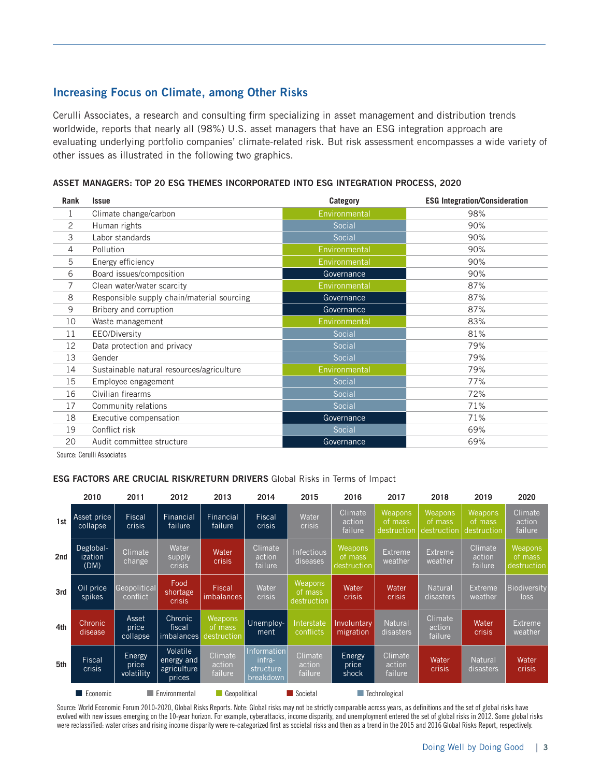## Increasing Focus on Climate, among Other Risks

Cerulli Associates, a research and consulting firm specializing in asset management and distribution trends worldwide, reports that nearly all (98%) U.S. asset managers that have an ESG integration approach are evaluating underlying portfolio companies' climate-related risk. But risk assessment encompasses a wide variety of other issues as illustrated in the following two graphics.

#### ASSET MANAGERS: TOP 20 ESG THEMES INCORPORATED INTO ESG INTEGRATION PROCESS, 2020

| Rank | <b>Issue</b>                               | Category      | <b>ESG Integration/Consideration</b> |
|------|--------------------------------------------|---------------|--------------------------------------|
|      | Climate change/carbon                      | Environmental | 98%                                  |
| 2    | Human rights                               | Social        | 90%                                  |
| 3    | Labor standards                            | Social        | 90%                                  |
| 4    | Pollution                                  | Environmental | 90%                                  |
| 5    | Energy efficiency                          | Environmental | 90%                                  |
| 6    | Board issues/composition                   | Governance    | 90%                                  |
| 7    | Clean water/water scarcity                 | Environmental | 87%                                  |
| 8    | Responsible supply chain/material sourcing | Governance    | 87%                                  |
| 9    | Bribery and corruption                     | Governance    | 87%                                  |
| 10   | Waste management                           | Environmental | 83%                                  |
| 11   | EEO/Diversity                              | Social        | 81%                                  |
| 12   | Data protection and privacy                | Social        | 79%                                  |
| 13   | Gender                                     | Social        | 79%                                  |
| 14   | Sustainable natural resources/agriculture  | Environmental | 79%                                  |
| 15   | Employee engagement                        | Social        | 77%                                  |
| 16   | Civilian firearms                          | Social        | 72%                                  |
| 17   | Community relations                        | Social        | 71%                                  |
| 18   | Executive compensation                     | Governance    | 71%                                  |
| 19   | Conflict risk                              | Social        | 69%                                  |
| 20   | Audit committee structure                  | Governance    | 69%                                  |

Source: Cerulli Associates

#### ESG FACTORS ARE CRUCIAL RISK/RETURN DRIVERS Global Risks in Terms of Impact

|                 | 2010                           | 2011                              | 2012                                            | 2013                               | 2014                                            | 2015                              | 2016                              | 2017                                     | 2018                                     | 2019                              | 2020                                     |
|-----------------|--------------------------------|-----------------------------------|-------------------------------------------------|------------------------------------|-------------------------------------------------|-----------------------------------|-----------------------------------|------------------------------------------|------------------------------------------|-----------------------------------|------------------------------------------|
| 1st             | Asset price<br>collapse        | Fiscal<br>crisis                  | Financial<br>failure                            | Financial<br>failure               | <b>Fiscal</b><br><b>crisis</b>                  | Water<br><b>crisis</b>            | Climate<br>action<br>failure      | <b>Weapons</b><br>of mass<br>destruction | <b>Weapons</b><br>of mass<br>destruction | Weapons<br>of mass<br>destruction | Climate<br>action<br>failure             |
| 2 <sub>nd</sub> | Deglobal-<br>ization<br>(DM)   | Climate<br>change                 | Water<br>supply<br><b>crisis</b>                | Water<br><b>crisis</b>             | Climate<br>action<br>failure                    | <b>Infectious</b><br>diseases     | Weapons<br>of mass<br>destruction | <b>Extreme</b><br>weather                | <b>Extreme</b><br>weather                | Climate<br>action<br>failure      | <b>Weapons</b><br>of mass<br>destruction |
| 3rd             | Oil price<br>spikes            | Geopolitical<br>conflict          | Food<br>shortage<br><b>crisis</b>               | <b>Fiscal</b><br><i>imbalances</i> | Water<br><b>crisis</b>                          | Weapons<br>of mass<br>destruction | Water<br>crisis                   | Water<br>crisis                          | <b>Natural</b><br>disasters              | <b>Extreme</b><br>weather         | <b>Biodiversity</b><br>loss              |
| 4th             | Chronic<br>disease             | <b>Asset</b><br>price<br>collapse | Chronic<br>fiscal<br>imbalances                 | Weapons<br>of mass<br>destruction  | Unemploy-<br>ment                               | Interstate<br>conflicts           | Involuntary<br>migration          | <b>Natural</b><br>disasters              | Climate<br>action<br>failure             | Water<br>crisis                   | <b>Extreme</b><br>weather                |
| 5th             | <b>Fiscal</b><br><b>crisis</b> | Energy<br>price<br>volatility     | Volatile<br>energy and<br>agriculture<br>prices | Climate<br>action<br>failure       | Information<br>infra-<br>structure<br>breakdown | Climate<br>action<br>failure      | Energy<br>price<br>shock          | Climate<br>action<br>failure             | Water<br>crisis                          | Natural<br>disasters              | Water<br>crisis                          |
|                 | Economic                       |                                   | Environmental                                   | $\Box$ Geopolitical                |                                                 | Societal                          |                                   | $\Box$ Technological                     |                                          |                                   |                                          |

Source: World Economic Forum 2010-2020, Global Risks Reports. Note: Global risks may not be strictly comparable across years, as definitions and the set of global risks have evolved with new issues emerging on the 10-year horizon. For example, cyberattacks, income disparity, and unemployment entered the set of global risks in 2012. Some global risks were reclassified: water crises and rising income disparity were re-categorized first as societal risks and then as a trend in the 2015 and 2016 Global Risks Report, respectively.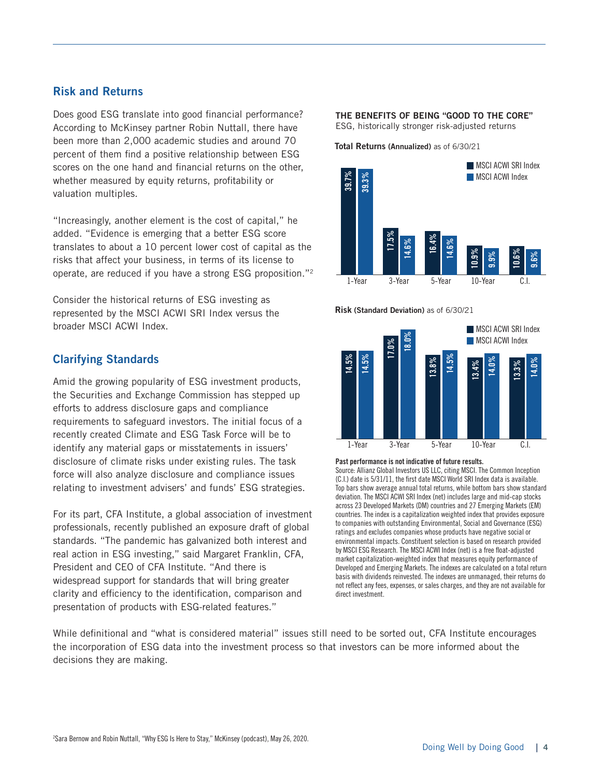## Risk and Returns

Does good ESG translate into good financial performance? According to McKinsey partner Robin Nuttall, there have been more than 2,000 academic studies and around 70 percent of them find a positive relationship between ESG scores on the one hand and financial returns on the other, whether measured by equity returns, profitability or valuation multiples.

"Increasingly, another element is the cost of capital," he added. "Evidence is emerging that a better ESG score translates to about a 10 percent lower cost of capital as the risks that affect your business, in terms of its license to operate, are reduced if you have a strong ESG proposition."2

Consider the historical returns of ESG investing as represented by the MSCI ACWI SRI Index versus the broader MSCI ACWI Index.

# Clarifying Standards

Amid the growing popularity of ESG investment products, the Securities and Exchange Commission has stepped up efforts to address disclosure gaps and compliance requirements to safeguard investors. The initial focus of a recently created Climate and ESG Task Force will be to identify any material gaps or misstatements in issuers' disclosure of climate risks under existing rules. The task force will also analyze disclosure and compliance issues relating to investment advisers' and funds' ESG strategies.

For its part, CFA Institute, a global association of investment professionals, recently published an exposure draft of global standards. "The pandemic has galvanized both interest and real action in ESG investing," said Margaret Franklin, CFA, President and CEO of CFA Institute. "And there is widespread support for standards that will bring greater clarity and efficiency to the identification, comparison and presentation of products with ESG-related features."

#### THE BENEFITS OF BEING "GOOD TO THE CORE" ESG, historically stronger risk-adjusted returns

Total Returns (Annualized) as of 6/30/21



Risk (Standard Deviation) as of 6/30/21



**Past performance is not indicative of future results.** 

Source: Allianz Global Investors US LLC, citing MSCI. The Common Inception (C.I.) date is 5/31/11, the first date MSCI World SRI Index data is available. Top bars show average annual total returns, while bottom bars show standard deviation. The MSCI ACWI SRI Index (net) includes large and mid-cap stocks across 23 Developed Markets (DM) countries and 27 Emerging Markets (EM) countries. The index is a capitalization weighted index that provides exposure to companies with outstanding Environmental, Social and Governance (ESG) ratings and excludes companies whose products have negative social or environmental impacts. Constituent selection is based on research provided by MSCI ESG Research. The MSCI ACWI Index (net) is a free float-adjusted market capitalization-weighted index that measures equity performance of Developed and Emerging Markets. The indexes are calculated on a total return basis with dividends reinvested. The indexes are unmanaged, their returns do not reflect any fees, expenses, or sales charges, and they are not available for direct investment.

While definitional and "what is considered material" issues still need to be sorted out, CFA Institute encourages the incorporation of ESG data into the investment process so that investors can be more informed about the decisions they are making.